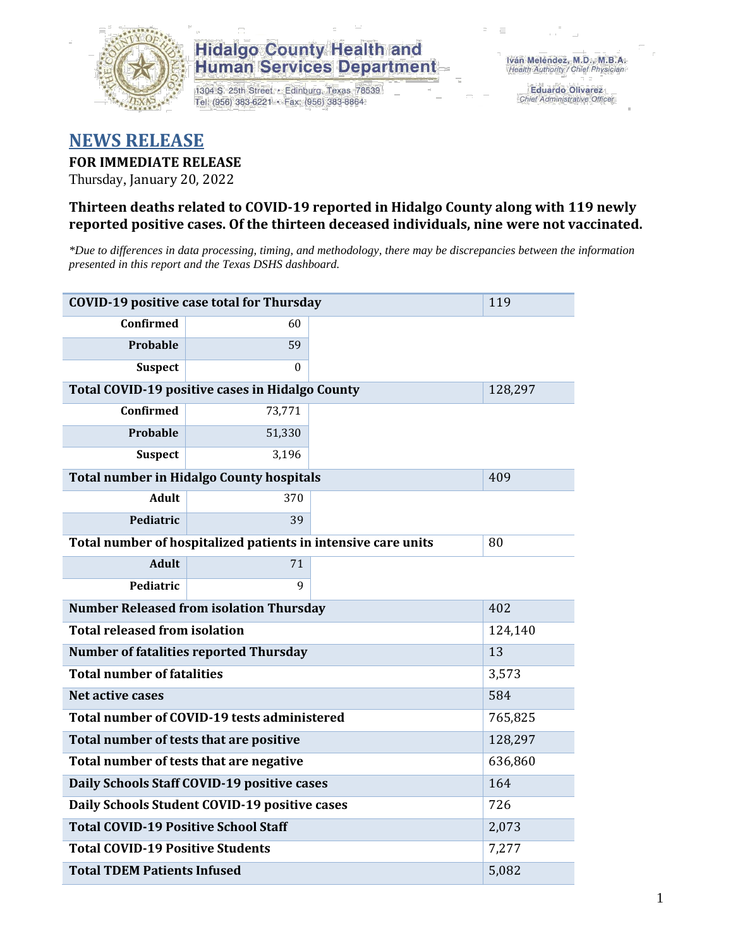

## **Hidalgo County Health and Human Services Department**

1304 S. 25th Street · Edinburg, Texas 78539 Tel: (956) 383-6221 · Fax: (956) 383-8864

**Eduardo Olivarez** Chief Administrative Officer

# **NEWS RELEASE**

### **FOR IMMEDIATE RELEASE**

Thursday, January 20, 2022

### **Thirteen deaths related to COVID-19 reported in Hidalgo County along with 119 newly reported positive cases. Of the thirteen deceased individuals, nine were not vaccinated.**

*\*Due to differences in data processing, timing, and methodology, there may be discrepancies between the information presented in this report and the Texas DSHS dashboard.*

| <b>COVID-19 positive case total for Thursday</b>      | 119                                                           |         |  |  |  |
|-------------------------------------------------------|---------------------------------------------------------------|---------|--|--|--|
| <b>Confirmed</b>                                      | 60                                                            |         |  |  |  |
| Probable                                              | 59                                                            |         |  |  |  |
| <b>Suspect</b>                                        | $\Omega$                                                      |         |  |  |  |
| Total COVID-19 positive cases in Hidalgo County       |                                                               | 128,297 |  |  |  |
| <b>Confirmed</b>                                      | 73,771                                                        |         |  |  |  |
| Probable                                              | 51,330                                                        |         |  |  |  |
| <b>Suspect</b>                                        | 3,196                                                         |         |  |  |  |
| <b>Total number in Hidalgo County hospitals</b>       |                                                               | 409     |  |  |  |
| <b>Adult</b>                                          | 370                                                           |         |  |  |  |
| Pediatric                                             | 39                                                            |         |  |  |  |
|                                                       | Total number of hospitalized patients in intensive care units | 80      |  |  |  |
| <b>Adult</b>                                          | 71                                                            |         |  |  |  |
| Pediatric                                             | 9                                                             |         |  |  |  |
| <b>Number Released from isolation Thursday</b><br>402 |                                                               |         |  |  |  |
| <b>Total released from isolation</b><br>124,140       |                                                               |         |  |  |  |
| <b>Number of fatalities reported Thursday</b>         |                                                               | 13      |  |  |  |
| <b>Total number of fatalities</b>                     | 3,573                                                         |         |  |  |  |
| <b>Net active cases</b>                               |                                                               | 584     |  |  |  |
| Total number of COVID-19 tests administered           |                                                               | 765,825 |  |  |  |
| Total number of tests that are positive               |                                                               | 128,297 |  |  |  |
| Total number of tests that are negative               |                                                               | 636,860 |  |  |  |
| Daily Schools Staff COVID-19 positive cases           |                                                               | 164     |  |  |  |
| Daily Schools Student COVID-19 positive cases         |                                                               | 726     |  |  |  |
| <b>Total COVID-19 Positive School Staff</b>           |                                                               | 2,073   |  |  |  |
| <b>Total COVID-19 Positive Students</b>               | 7,277                                                         |         |  |  |  |
| <b>Total TDEM Patients Infused</b>                    | 5,082                                                         |         |  |  |  |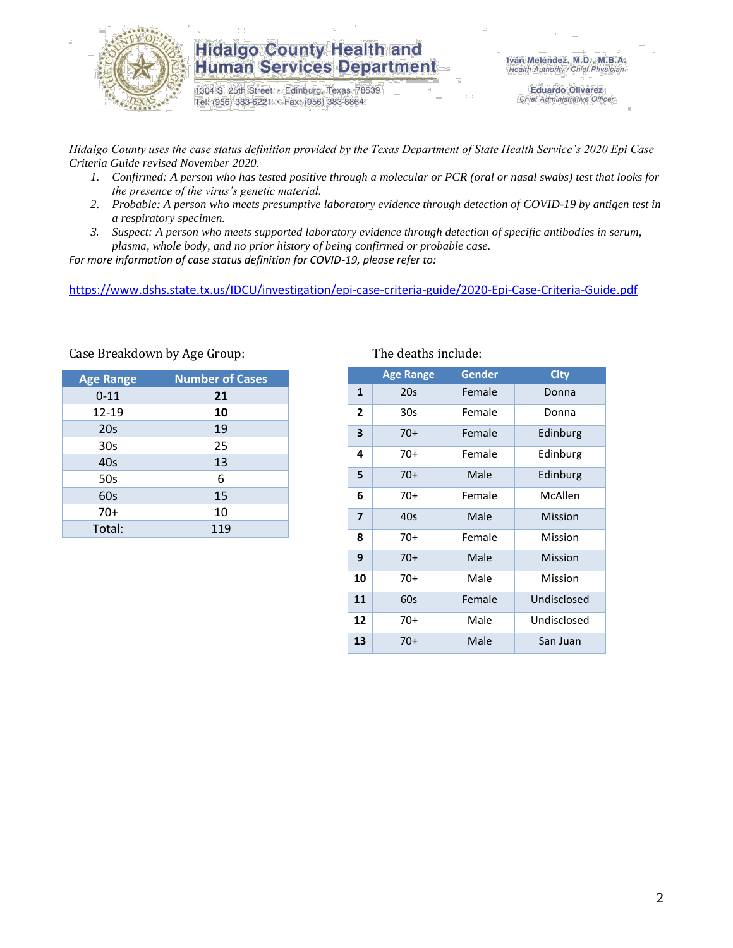

### **Hidalgo County Health and Human Services Department**

1304 S. 25th Street · Edinburg, Texas 78539 Tel: (956) 383-6221 · Fax: (956) 383-8864

**Eduardo Olivarez** Chief Administrative Officer

*Hidalgo County uses the case status definition provided by the Texas Department of State Health Service's 2020 Epi Case Criteria Guide revised November 2020.*

- *1. Confirmed: A person who has tested positive through a molecular or PCR (oral or nasal swabs) test that looks for the presence of the virus's genetic material.*
- *2. Probable: A person who meets presumptive laboratory evidence through detection of COVID-19 by antigen test in a respiratory specimen.*
- *3. Suspect: A person who meets supported laboratory evidence through detection of specific antibodies in serum, plasma, whole body, and no prior history of being confirmed or probable case.*

*For more information of case status definition for COVID-19, please refer to:*

<https://www.dshs.state.tx.us/IDCU/investigation/epi-case-criteria-guide/2020-Epi-Case-Criteria-Guide.pdf>

| <b>Age Range</b> | <b>Number of Cases</b> |
|------------------|------------------------|
| $0 - 11$         | 21                     |
| 12-19            | 10                     |
| 20 <sub>s</sub>  | 19                     |
| 30s              | 25                     |
| 40 <sub>s</sub>  | 13                     |
| 50s              | 6                      |
| 60s              | 15                     |
| $70+$            | 10                     |
| Total:           | 119                    |

#### Case Breakdown by Age Group:

|              | <b>Age Range</b> | <b>Gender</b> | <b>City</b> |
|--------------|------------------|---------------|-------------|
| 1            | 20s              | Female        | Donna       |
| $\mathbf{2}$ | 30s              | Female        | Donna       |
| 3            | $70+$            | Female        | Edinburg    |
| 4            | $70+$            | Female        | Edinburg    |
| 5            | $70+$            | Male          | Edinburg    |
| 6            | 70+              | Female        | McAllen     |
| 7            | 40s              | Male          | Mission     |
| 8            | 70+              | Female        | Mission     |
| 9            | $70+$            | Male          | Mission     |
| 10           | 70+              | Male          | Mission     |
| 11           | 60s              | Female        | Undisclosed |
| 12           | 70+              | Male          | Undisclosed |
| 13           | $70+$            | Male          | San Juan    |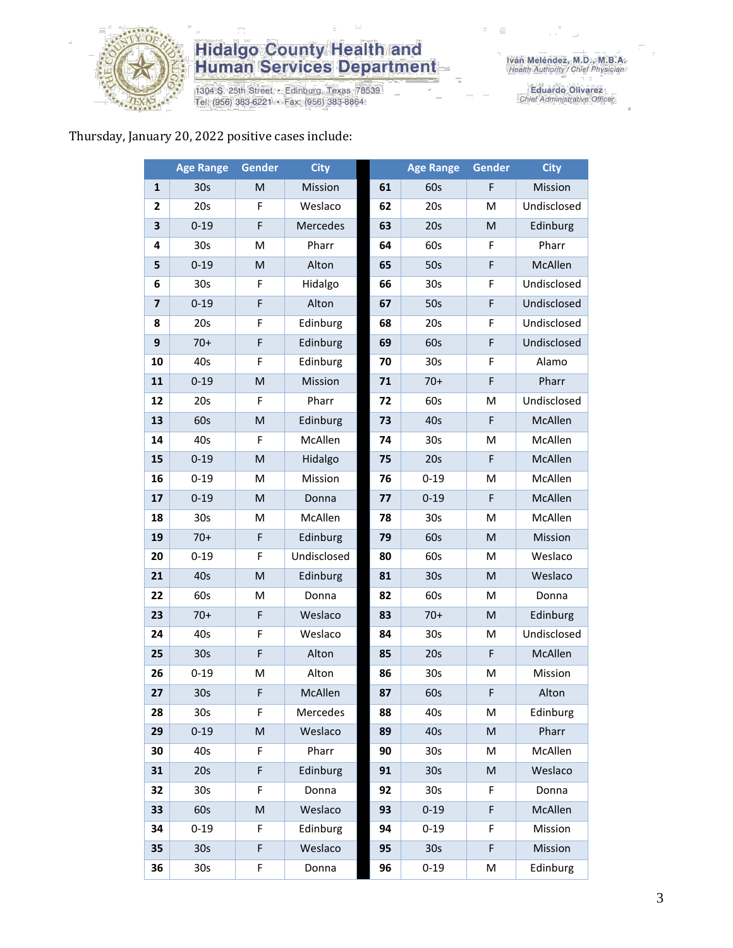

# **Hidalgo County Health and<br>Human Services Department**

1304 S. 25th Street • Edinburg, Texas 78539<br>Tel: (956) 383-6221 • Fax: (956) 383-8864

Eduardo Olivarez<br>Chief Administrative Officer

#### Thursday, January 20, 2022 positive cases include:

|                | <b>Age Range</b> | Gender                                                                                                     | <b>City</b> |    | <b>Age Range</b> | Gender    | <b>City</b> |
|----------------|------------------|------------------------------------------------------------------------------------------------------------|-------------|----|------------------|-----------|-------------|
| 1              | 30 <sub>s</sub>  | M                                                                                                          | Mission     | 61 | 60s              | F         | Mission     |
| $\overline{2}$ | 20s              | F                                                                                                          | Weslaco     | 62 | 20s              | м         | Undisclosed |
| 3              | $0 - 19$         | F                                                                                                          | Mercedes    | 63 | 20s              | M         | Edinburg    |
| 4              | 30s              | M                                                                                                          | Pharr       | 64 | 60s              | F         | Pharr       |
| 5              | $0 - 19$         | M                                                                                                          | Alton       | 65 | 50s              | F         | McAllen     |
| 6              | 30 <sub>s</sub>  | F                                                                                                          | Hidalgo     | 66 | 30 <sub>s</sub>  | F         | Undisclosed |
| $\overline{7}$ | $0 - 19$         | F                                                                                                          | Alton       | 67 | 50s              | F         | Undisclosed |
| 8              | 20s              | F                                                                                                          | Edinburg    | 68 | 20s              | F         | Undisclosed |
| 9              | $70+$            | F                                                                                                          | Edinburg    | 69 | 60s              | F         | Undisclosed |
| 10             | 40s              | F                                                                                                          | Edinburg    | 70 | 30 <sub>s</sub>  | F         | Alamo       |
| 11             | $0 - 19$         | M                                                                                                          | Mission     | 71 | $70+$            | F         | Pharr       |
| 12             | 20s              | F                                                                                                          | Pharr       | 72 | 60s              | M         | Undisclosed |
| 13             | 60s              | $\mathsf{M}% _{T}=\mathsf{M}_{T}\!\left( a,b\right) ,\ \mathsf{M}_{T}=\mathsf{M}_{T}\!\left( a,b\right) ,$ | Edinburg    | 73 | 40s              | F         | McAllen     |
| 14             | 40s              | F                                                                                                          | McAllen     | 74 | 30s              | M         | McAllen     |
| 15             | $0 - 19$         | M                                                                                                          | Hidalgo     | 75 | 20s              | F         | McAllen     |
| 16             | $0 - 19$         | M                                                                                                          | Mission     | 76 | $0 - 19$         | M         | McAllen     |
| 17             | $0 - 19$         | M                                                                                                          | Donna       | 77 | $0 - 19$         | F         | McAllen     |
| 18             | 30 <sub>s</sub>  | M                                                                                                          | McAllen     | 78 | 30s              | M         | McAllen     |
| 19             | $70+$            | F                                                                                                          | Edinburg    | 79 | 60s              | M         | Mission     |
| 20             | $0 - 19$         | F                                                                                                          | Undisclosed | 80 | 60s              | M         | Weslaco     |
| 21             | 40s              | M                                                                                                          | Edinburg    | 81 | 30 <sub>s</sub>  | M         | Weslaco     |
| 22             | 60s              | M                                                                                                          | Donna       | 82 | 60s              | M         | Donna       |
| 23             | $70+$            | F                                                                                                          | Weslaco     | 83 | $70+$            | M         | Edinburg    |
| 24             | 40s              | F                                                                                                          | Weslaco     | 84 | 30s              | M         | Undisclosed |
| 25             | 30 <sub>s</sub>  | F                                                                                                          | Alton       | 85 | 20s              | F         | McAllen     |
| 26             | $0 - 19$         | M                                                                                                          | Alton       | 86 | 30s              | M         | Mission     |
| 27             | 30s              | F                                                                                                          | McAllen     | 87 | 60s              | F         | Alton       |
| 28             | 30s              | F                                                                                                          | Mercedes    | 88 | 40s              | M         | Edinburg    |
| 29             | $0 - 19$         | M                                                                                                          | Weslaco     | 89 | 40s              | M         | Pharr       |
| 30             | 40s              | F                                                                                                          | Pharr       | 90 | 30s              | M         | McAllen     |
| 31             | 20s              | F                                                                                                          | Edinburg    | 91 | 30 <sub>s</sub>  | ${\sf M}$ | Weslaco     |
| 32             | 30 <sub>s</sub>  | F                                                                                                          | Donna       | 92 | 30 <sub>s</sub>  | F         | Donna       |
| 33             | 60s              | M                                                                                                          | Weslaco     | 93 | $0 - 19$         | F         | McAllen     |
| 34             | $0 - 19$         | F                                                                                                          | Edinburg    | 94 | $0 - 19$         | F         | Mission     |
| 35             | 30 <sub>s</sub>  | F                                                                                                          | Weslaco     | 95 | 30 <sub>s</sub>  | F         | Mission     |
| 36             | 30 <sub>s</sub>  | F                                                                                                          | Donna       | 96 | $0 - 19$         | M         | Edinburg    |